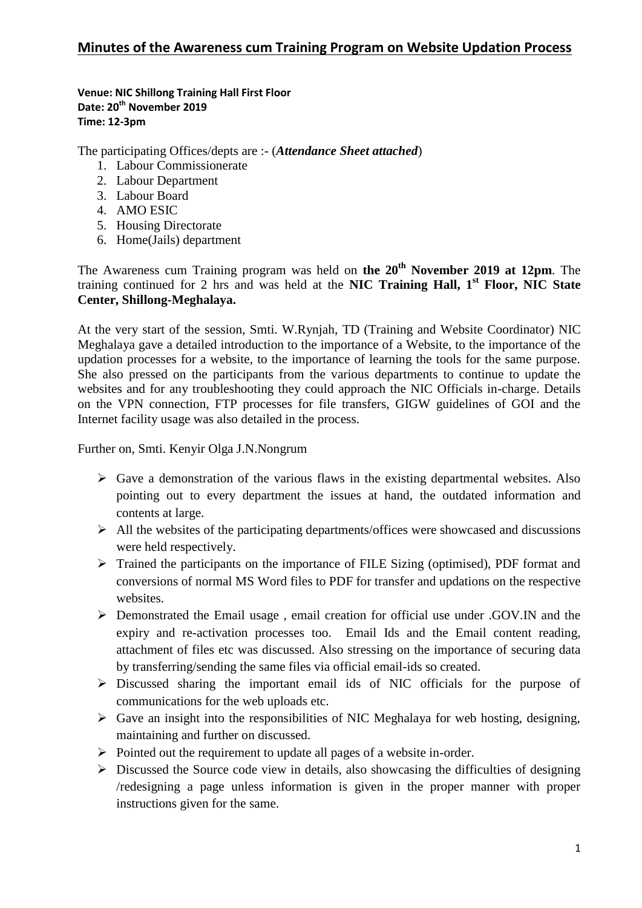**Venue: NIC Shillong Training Hall First Floor Date: 20th November 2019 Time: 12-3pm**

The participating Offices/depts are :- (*Attendance Sheet attached*)

- 1. Labour Commissionerate
- 2. Labour Department
- 3. Labour Board
- 4. AMO ESIC
- 5. Housing Directorate
- 6. Home(Jails) department

The Awareness cum Training program was held on **the 20th November 2019 at 12pm**. The training continued for 2 hrs and was held at the **NIC Training Hall, 1st Floor, NIC State Center, Shillong-Meghalaya.** 

At the very start of the session, Smti. W.Rynjah, TD (Training and Website Coordinator) NIC Meghalaya gave a detailed introduction to the importance of a Website, to the importance of the updation processes for a website, to the importance of learning the tools for the same purpose. She also pressed on the participants from the various departments to continue to update the websites and for any troubleshooting they could approach the NIC Officials in-charge. Details on the VPN connection, FTP processes for file transfers, GIGW guidelines of GOI and the Internet facility usage was also detailed in the process.

Further on, Smti. Kenyir Olga J.N.Nongrum

- $\triangleright$  Gave a demonstration of the various flaws in the existing departmental websites. Also pointing out to every department the issues at hand, the outdated information and contents at large.
- $\triangleright$  All the websites of the participating departments/offices were showcased and discussions were held respectively.
- Trained the participants on the importance of FILE Sizing (optimised), PDF format and conversions of normal MS Word files to PDF for transfer and updations on the respective websites.
- Demonstrated the Email usage , email creation for official use under .GOV.IN and the expiry and re-activation processes too. Email Ids and the Email content reading, attachment of files etc was discussed. Also stressing on the importance of securing data by transferring/sending the same files via official email-ids so created.
- Discussed sharing the important email ids of NIC officials for the purpose of communications for the web uploads etc.
- $\triangleright$  Gave an insight into the responsibilities of NIC Meghalaya for web hosting, designing, maintaining and further on discussed.
- $\triangleright$  Pointed out the requirement to update all pages of a website in-order.
- $\triangleright$  Discussed the Source code view in details, also showcasing the difficulties of designing /redesigning a page unless information is given in the proper manner with proper instructions given for the same.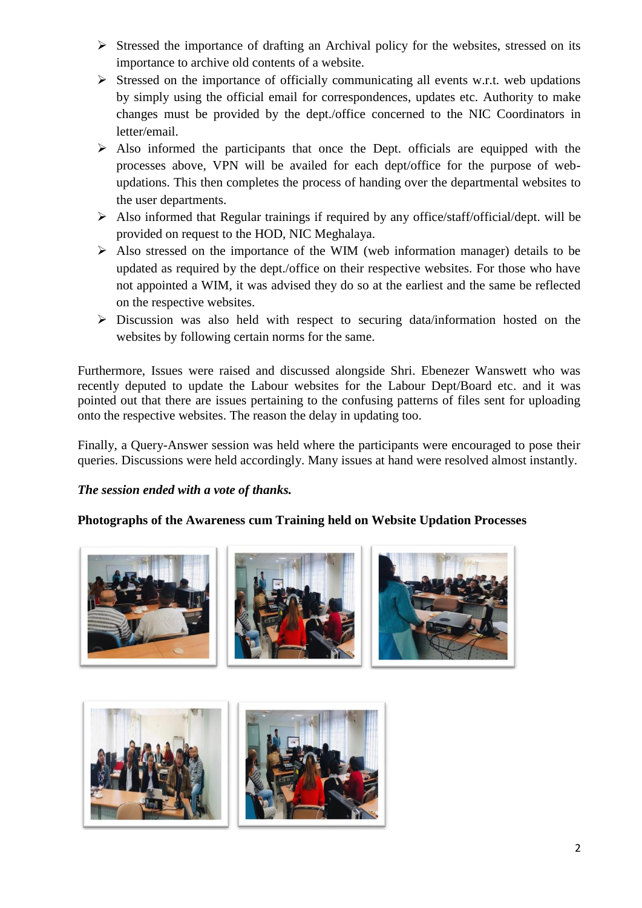- $\triangleright$  Stressed the importance of drafting an Archival policy for the websites, stressed on its importance to archive old contents of a website.
- $\triangleright$  Stressed on the importance of officially communicating all events w.r.t. web updations by simply using the official email for correspondences, updates etc. Authority to make changes must be provided by the dept./office concerned to the NIC Coordinators in letter/email.
- $\triangleright$  Also informed the participants that once the Dept. officials are equipped with the processes above, VPN will be availed for each dept/office for the purpose of webupdations. This then completes the process of handing over the departmental websites to the user departments.
- $\triangleright$  Also informed that Regular trainings if required by any office/staff/official/dept. will be provided on request to the HOD, NIC Meghalaya.
- $\triangleright$  Also stressed on the importance of the WIM (web information manager) details to be updated as required by the dept./office on their respective websites. For those who have not appointed a WIM, it was advised they do so at the earliest and the same be reflected on the respective websites.
- $\triangleright$  Discussion was also held with respect to securing data/information hosted on the websites by following certain norms for the same.

Furthermore, Issues were raised and discussed alongside Shri. Ebenezer Wanswett who was recently deputed to update the Labour websites for the Labour Dept/Board etc. and it was pointed out that there are issues pertaining to the confusing patterns of files sent for uploading onto the respective websites. The reason the delay in updating too.

Finally, a Query-Answer session was held where the participants were encouraged to pose their queries. Discussions were held accordingly. Many issues at hand were resolved almost instantly.

## *The session ended with a vote of thanks.*

## **Photographs of the Awareness cum Training held on Website Updation Processes**